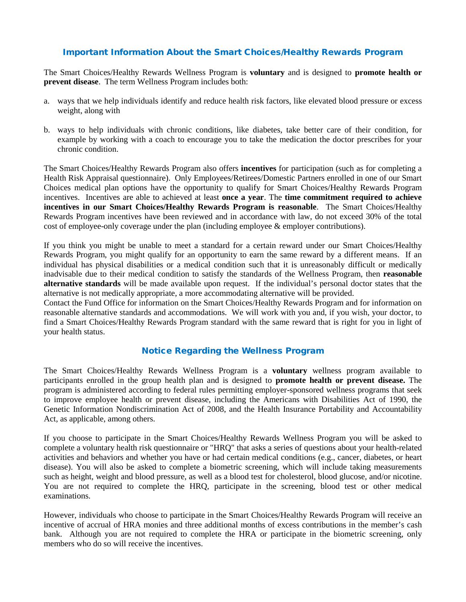## Important Information About the Smart Choices/Healthy Rewards Program

The Smart Choices/Healthy Rewards Wellness Program is **voluntary** and is designed to **promote health or prevent disease**. The term Wellness Program includes both:

- a. ways that we help individuals identify and reduce health risk factors, like elevated blood pressure or excess weight, along with
- b. ways to help individuals with chronic conditions, like diabetes, take better care of their condition, for example by working with a coach to encourage you to take the medication the doctor prescribes for your chronic condition.

The Smart Choices/Healthy Rewards Program also offers **incentives** for participation (such as for completing a Health Risk Appraisal questionnaire). Only Employees/Retirees/Domestic Partners enrolled in one of our Smart Choices medical plan options have the opportunity to qualify for Smart Choices/Healthy Rewards Program incentives. Incentives are able to achieved at least **once a year**. The **time commitment required to achieve incentives in our Smart Choices/Healthy Rewards Program is reasonable**. The Smart Choices/Healthy Rewards Program incentives have been reviewed and in accordance with law, do not exceed 30% of the total cost of employee-only coverage under the plan (including employee & employer contributions).

If you think you might be unable to meet a standard for a certain reward under our Smart Choices/Healthy Rewards Program, you might qualify for an opportunity to earn the same reward by a different means. If an individual has physical disabilities or a medical condition such that it is unreasonably difficult or medically inadvisable due to their medical condition to satisfy the standards of the Wellness Program, then **reasonable alternative standards** will be made available upon request. If the individual's personal doctor states that the alternative is not medically appropriate, a more accommodating alternative will be provided.

Contact the Fund Office for information on the Smart Choices/Healthy Rewards Program and for information on reasonable alternative standards and accommodations. We will work with you and, if you wish, your doctor, to find a Smart Choices/Healthy Rewards Program standard with the same reward that is right for you in light of your health status.

## Notice Regarding the Wellness Program

The Smart Choices/Healthy Rewards Wellness Program is a **voluntary** wellness program available to participants enrolled in the group health plan and is designed to **promote health or prevent disease.** The program is administered according to federal rules permitting employer-sponsored wellness programs that seek to improve employee health or prevent disease, including the Americans with Disabilities Act of 1990, the Genetic Information Nondiscrimination Act of 2008, and the Health Insurance Portability and Accountability Act, as applicable, among others.

If you choose to participate in the Smart Choices/Healthy Rewards Wellness Program you will be asked to complete a voluntary health risk questionnaire or "HRQ" that asks a series of questions about your health-related activities and behaviors and whether you have or had certain medical conditions (e.g., cancer, diabetes, or heart disease). You will also be asked to complete a biometric screening, which will include taking measurements such as height, weight and blood pressure, as well as a blood test for cholesterol, blood glucose, and/or nicotine. You are not required to complete the HRQ, participate in the screening, blood test or other medical examinations.

However, individuals who choose to participate in the Smart Choices/Healthy Rewards Program will receive an incentive of accrual of HRA monies and three additional months of excess contributions in the member's cash bank. Although you are not required to complete the HRA or participate in the biometric screening, only members who do so will receive the incentives.